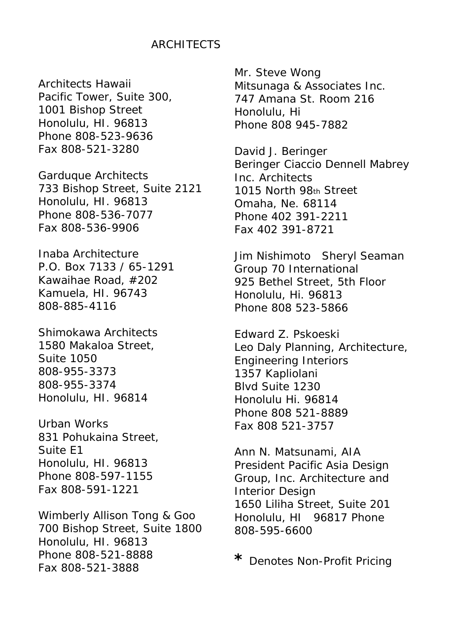#### ARCHITECTS

Architects Hawaii Pacific Tower, Suite 300, 1001 Bishop Street Honolulu, HI. 96813 Phone 808-523-9636 Fax 808-521-3280

Garduque Architects 733 Bishop Street, Suite 2121 Honolulu, HI. 96813 Phone 808-536-7077 Fax 808-536-9906

Inaba Architecture P.O. Box 7133 / 65-1291 Kawaihae Road, #202 Kamuela, HI. 96743 808-885-4116

Shimokawa Architects 1580 Makaloa Street, Suite 1050 808-955-3373 808-955-3374 Honolulu, HI. 96814

Urban Works 831 Pohukaina Street, Suite E1 Honolulu, HI. 96813 Phone 808-597-1155 Fax 808-591-1221

Wimberly Allison Tong & Goo 700 Bishop Street, Suite 1800 Honolulu, HI. 96813 Phone 808-521-8888 Fax 808-521-3888

Mr. Steve Wong Mitsunaga & Associates Inc. 747 Amana St. Room 216 Honolulu, Hi Phone 808 945-7882

David J. Beringer Beringer Ciaccio Dennell Mabrey Inc. Architects 1015 North 98th Street Omaha, Ne. 68114 Phone 402 391-2211 Fax 402 391-8721

Jim Nishimoto Sheryl Seaman Group 70 International 925 Bethel Street, 5th Floor Honolulu, Hi. 96813 Phone 808 523-5866

Edward Z. Pskoeski Leo Daly Planning, Architecture, Engineering Interiors 1357 Kapliolani Blvd Suite 1230 Honolulu Hi. 96814 Phone 808 521-8889 Fax 808 521-3757

Ann N. Matsunami, AIA President Pacific Asia Design Group, Inc. Architecture and Interior Design 1650 Liliha Street, Suite 201 Honolulu, HI 96817 Phone 808-595-6600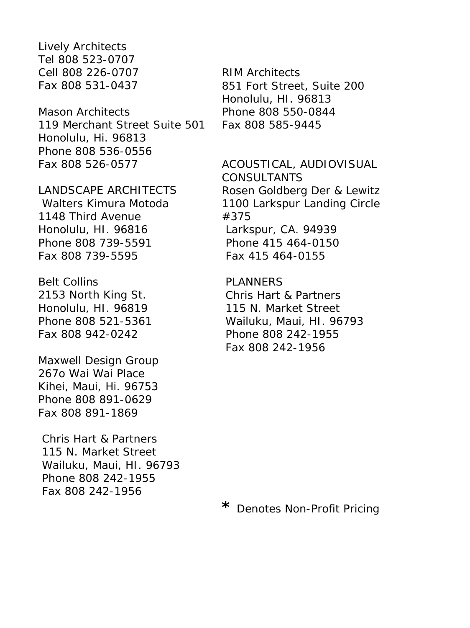Lively Architects Tel 808 523-0707 Cell 808 226-0707 Fax 808 531-0437

Mason Architects 119 Merchant Street Suite 501 Honolulu, Hi. 96813 Phone 808 536-0556 Fax 808 526-0577

LANDSCAPE ARCHITECTS

Walters Kimura Motoda 1148 Third Avenue Honolulu, HI. 96816 Phone 808 739-5591 Fax 808 739-5595

Belt Collins 2153 North King St. Honolulu, HI. 96819 Phone 808 521-5361 Fax 808 942-0242

Maxwell Design Group 267o Wai Wai Place Kihei, Maui, Hi. 96753 Phone 808 891-0629 Fax 808 891-1869

Chris Hart & Partners 115 N. Market Street Wailuku, Maui, HI. 96793 Phone 808 242-1955 Fax 808 242-1956

RIM Architects 851 Fort Street, Suite 200 Honolulu, HI. 96813 Phone 808 550-0844 Fax 808 585-9445

ACOUSTICAL, AUDIOVISUAL CONSULTANTS Rosen Goldberg Der & Lewitz 1100 Larkspur Landing Circle #375 Larkspur, CA. 94939 Phone 415 464-0150 Fax 415 464-0155

PLANNERS Chris Hart & Partners 115 N. Market Street Wailuku, Maui, HI. 96793 Phone 808 242-1955 Fax 808 242-1956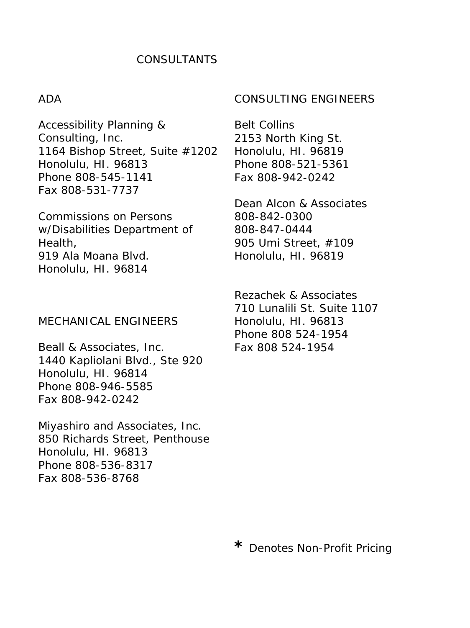# CONSULTANTS

#### ADA

Accessibility Planning & Consulting, Inc. 1164 Bishop Street, Suite #1202 Honolulu, HI. 96813 Phone 808-545-1141 Fax 808-531-7737

Commissions on Persons w/Disabilities Department of Health, 919 Ala Moana Blvd. Honolulu, HI. 96814

#### MECHANICAL ENGINEERS

Beall & Associates, Inc. 1440 Kapliolani Blvd., Ste 920 Honolulu, HI. 96814 Phone 808-946-5585 Fax 808-942-0242

Miyashiro and Associates, Inc. 850 Richards Street, Penthouse Honolulu, HI. 96813 Phone 808-536-8317 Fax 808-536-8768

#### CONSULTING ENGINEERS

Belt Collins 2153 North King St. Honolulu, HI. 96819 Phone 808-521-5361 Fax 808-942-0242

Dean Alcon & Associates 808-842-0300 808-847-0444 905 Umi Street, #109 Honolulu, HI. 96819

Rezachek & Associates 710 Lunalili St. Suite 1107 Honolulu, HI. 96813 Phone 808 524-1954 Fax 808 524-1954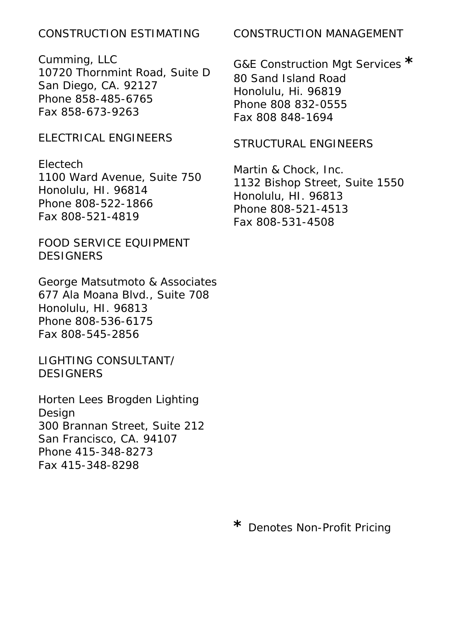# CONSTRUCTION ESTIMATING

Cumming, LLC 10720 Thornmint Road, Suite D San Diego, CA. 92127 Phone 858-485-6765 Fax 858-673-9263

# ELECTRICAL ENGINEERS

Electech 1100 Ward Avenue, Suite 750 Honolulu, HI. 96814 Phone 808-522-1866 Fax 808-521-4819

FOOD SERVICE EQUIPMENT **DESIGNERS** 

George Matsutmoto & Associates 677 Ala Moana Blvd., Suite 708 Honolulu, HI. 96813 Phone 808-536-6175 Fax 808-545-2856

LIGHTING CONSULTANT/ **DESIGNERS** 

Horten Lees Brogden Lighting Design 300 Brannan Street, Suite 212 San Francisco, CA. 94107 Phone 415-348-8273 Fax 415-348-8298

# CONSTRUCTION MANAGEMENT

G&E Construction Mgt Services **\*** 80 Sand Island Road Honolulu, Hi. 96819 Phone 808 832-0555 Fax 808 848-1694

# STRUCTURAL ENGINEERS

Martin & Chock, Inc. 1132 Bishop Street, Suite 1550 Honolulu, HI. 96813 Phone 808-521-4513 Fax 808-531-4508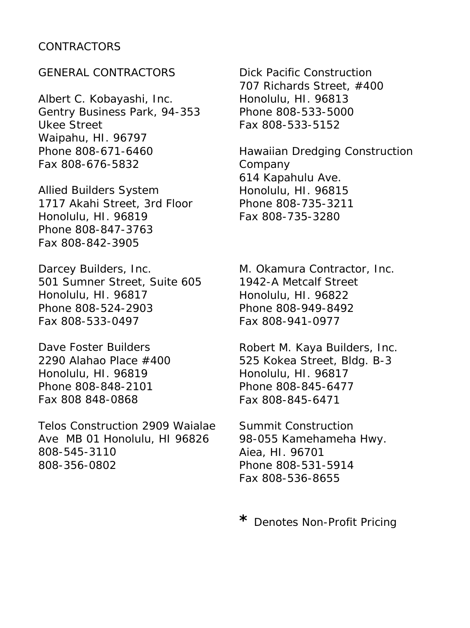### CONTRACTORS

### GENERAL CONTRACTORS

Albert C. Kobayashi, Inc. Gentry Business Park, 94-353 Ukee Street Waipahu, HI. 96797 Phone 808-671-6460 Fax 808-676-5832

Allied Builders System 1717 Akahi Street, 3rd Floor Honolulu, HI. 96819 Phone 808-847-3763 Fax 808-842-3905

Darcey Builders, Inc. 501 Sumner Street, Suite 605 Honolulu, HI. 96817 Phone 808-524-2903 Fax 808-533-0497

Dave Foster Builders 2290 Alahao Place #400 Honolulu, HI. 96819 Phone 808-848-2101 Fax 808 848-0868

Telos Construction 2909 Waialae Ave MB 01 Honolulu, HI 96826 808-545-3110 808-356-0802

Dick Pacific Construction 707 Richards Street, #400 Honolulu, HI. 96813 Phone 808-533-5000 Fax 808-533-5152

Hawaiian Dredging Construction Company 614 Kapahulu Ave. Honolulu, HI. 96815 Phone 808-735-3211 Fax 808-735-3280

M. Okamura Contractor, Inc. 1942-A Metcalf Street Honolulu, HI. 96822 Phone 808-949-8492 Fax 808-941-0977

Robert M. Kaya Builders, Inc. 525 Kokea Street, Bldg. B-3 Honolulu, HI. 96817 Phone 808-845-6477 Fax 808-845-6471

Summit Construction 98-055 Kamehameha Hwy. Aiea, HI. 96701 Phone 808-531-5914 Fax 808-536-8655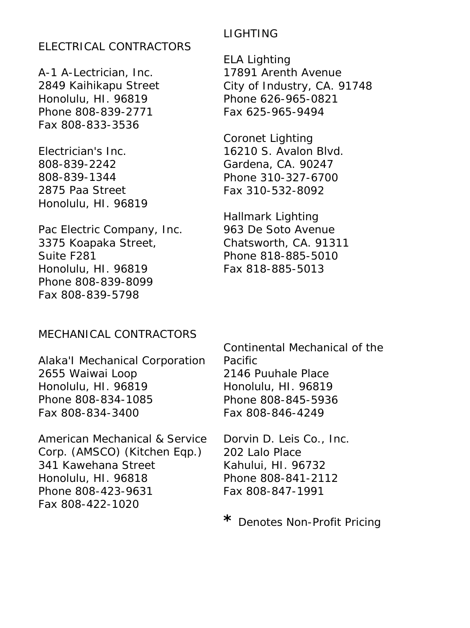## ELECTRICAL CONTRACTORS

A-1 A-Lectrician, Inc. 2849 Kaihikapu Street Honolulu, HI. 96819 Phone 808-839-2771 Fax 808-833-3536

Electrician's Inc. 808-839-2242 808-839-1344 2875 Paa Street Honolulu, HI. 96819

Pac Electric Company, Inc. 3375 Koapaka Street, Suite F281 Honolulu, HI. 96819 Phone 808-839-8099 Fax 808-839-5798

### LIGHTING

ELA Lighting 17891 Arenth Avenue City of Industry, CA. 91748 Phone 626-965-0821 Fax 625-965-9494

Coronet Lighting 16210 S. Avalon Blvd. Gardena, CA. 90247 Phone 310-327-6700 Fax 310-532-8092

Hallmark Lighting 963 De Soto Avenue Chatsworth, CA. 91311 Phone 818-885-5010 Fax 818-885-5013

#### MECHANICAL CONTRACTORS

Alaka'I Mechanical Corporation 2655 Waiwai Loop Honolulu, HI. 96819 Phone 808-834-1085 Fax 808-834-3400

American Mechanical & Service Corp. (AMSCO) (Kitchen Eqp.) 341 Kawehana Street Honolulu, HI. 96818 Phone 808-423-9631 Fax 808-422-1020

Continental Mechanical of the Pacific 2146 Puuhale Place Honolulu, HI. 96819 Phone 808-845-5936 Fax 808-846-4249

Dorvin D. Leis Co., Inc. 202 Lalo Place Kahului, HI. 96732 Phone 808-841-2112 Fax 808-847-1991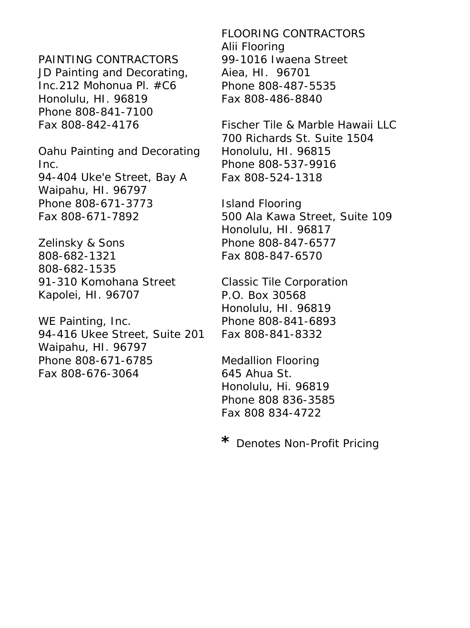# PAINTING CONTRACTORS

JD Painting and Decorating, Inc.212 Mohonua Pl. #C6 Honolulu, HI. 96819 Phone 808-841-7100 Fax 808-842-4176

Oahu Painting and Decorating Inc. 94-404 Uke'e Street, Bay A Waipahu, HI. 96797 Phone 808-671-3773 Fax 808-671-7892

Zelinsky & Sons 808-682-1321 808-682-1535 91-310 Komohana Street Kapolei, HI. 96707

WE Painting, Inc. 94-416 Ukee Street, Suite 201 Waipahu, HI. 96797 Phone 808-671-6785 Fax 808-676-3064

FLOORING CONTRACTORS Alii Flooring 99-1016 Iwaena Street Aiea, HI. 96701 Phone 808-487-5535 Fax 808-486-8840

Fischer Tile & Marble Hawaii LLC 700 Richards St. Suite 1504 Honolulu, HI. 96815 Phone 808-537-9916 Fax 808-524-1318

Island Flooring 500 Ala Kawa Street, Suite 109 Honolulu, HI. 96817 Phone 808-847-6577 Fax 808-847-6570

Classic Tile Corporation P.O. Box 30568 Honolulu, HI. 96819 Phone 808-841-6893 Fax 808-841-8332

Medallion Flooring 645 Ahua St. Honolulu, Hi. 96819 Phone 808 836-3585 Fax 808 834-4722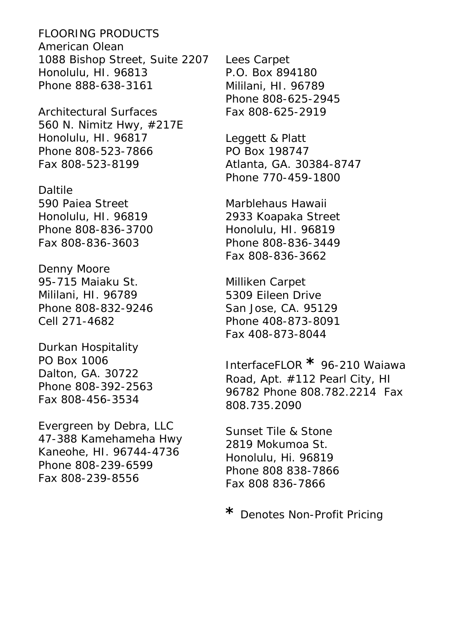FLOORING PRODUCTS American Olean 1088 Bishop Street, Suite 2207 Honolulu, HI. 96813 Phone 888-638-3161

Architectural Surfaces 560 N. Nimitz Hwy, #217E Honolulu, HI. 96817 Phone 808-523-7866 Fax 808-523-8199

Daltile 590 Paiea Street Honolulu, HI. 96819 Phone 808-836-3700 Fax 808-836-3603

Denny Moore 95-715 Maiaku St. Mililani, HI. 96789 Phone 808-832-9246 Cell 271-4682

Durkan Hospitality PO Box 1006 Dalton, GA. 30722 Phone 808-392-2563 Fax 808-456-3534

Evergreen by Debra, LLC 47-388 Kamehameha Hwy Kaneohe, HI. 96744-4736 Phone 808-239-6599 Fax 808-239-8556

Lees Carpet P.O. Box 894180 Mililani, HI. 96789 Phone 808-625-2945 Fax 808-625-2919

Leggett & Platt PO Box 198747 Atlanta, GA. 30384-8747 Phone 770-459-1800

Marblehaus Hawaii 2933 Koapaka Street Honolulu, HI. 96819 Phone 808-836-3449 Fax 808-836-3662

Milliken Carpet 5309 Eileen Drive San Jose, CA. 95129 Phone 408-873-8091 Fax 408-873-8044

InterfaceFLOR **\*** 96-210 Waiawa Road, Apt. #112 Pearl City, HI 96782 Phone 808.782.2214 Fax 808.735.2090

Sunset Tile & Stone 2819 Mokumoa St. Honolulu, Hi. 96819 Phone 808 838-7866 Fax 808 836-7866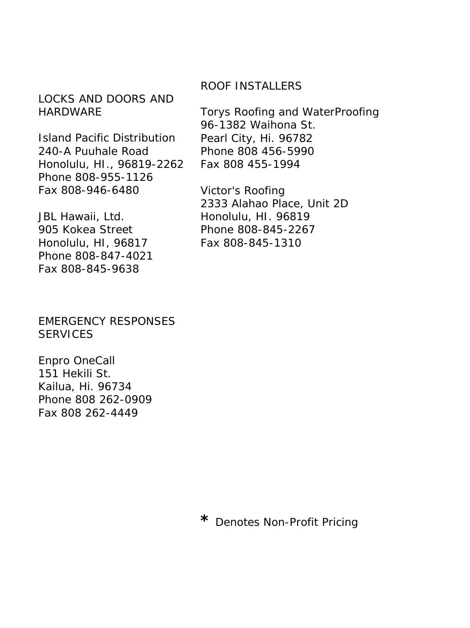# LOCKS AND DOORS AND **HARDWARE**

Island Pacific Distribution 240-A Puuhale Road Honolulu, HI., 96819-2262 Phone 808-955-1126 Fax 808-946-6480

JBL Hawaii, Ltd. 905 Kokea Street Honolulu, HI, 96817 Phone 808-847-4021 Fax 808-845-9638

EMERGENCY RESPONSES **SERVICES** 

Enpro OneCall 151 Hekili St. Kailua, Hi. 96734 Phone 808 262-0909 Fax 808 262-4449

## ROOF INSTALLERS

Torys Roofing and WaterProofing 96-1382 Waihona St. Pearl City, Hi. 96782 Phone 808 456-5990 Fax 808 455-1994

Victor's Roofing 2333 Alahao Place, Unit 2D Honolulu, HI. 96819 Phone 808-845-2267 Fax 808-845-1310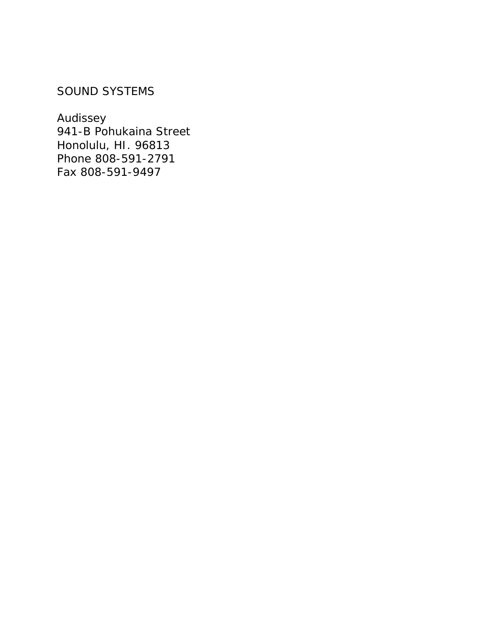# SOUND SYSTEMS

Audissey 941-B Pohukaina Street Honolulu, HI. 96813 Phone 808-591-2791 Fax 808-591-9497